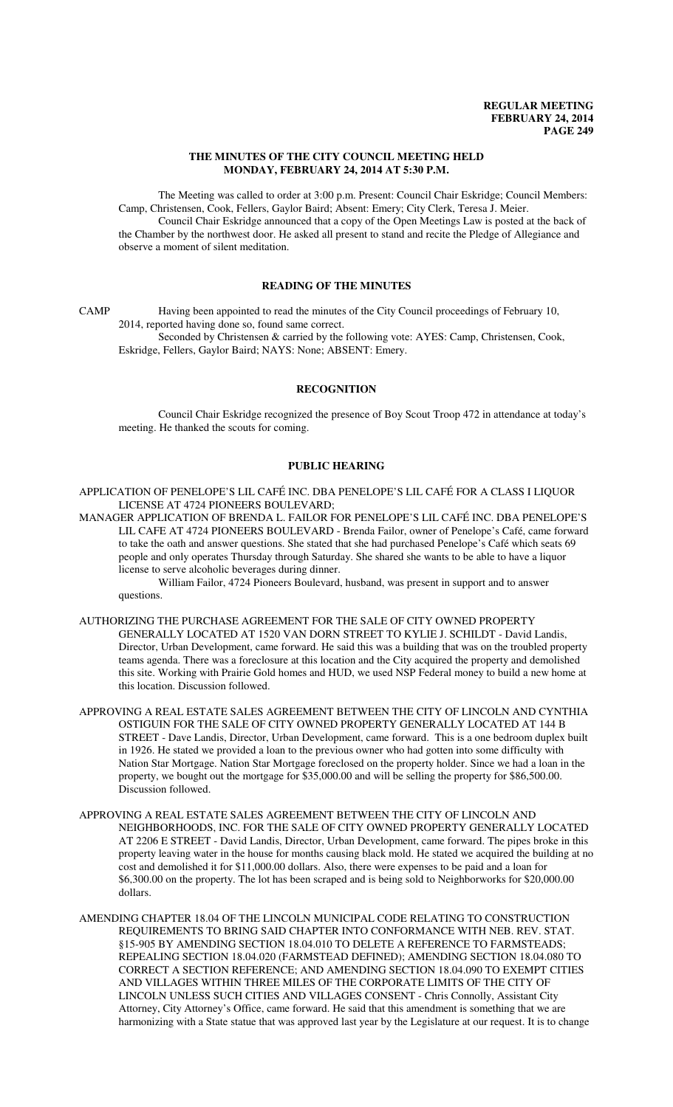#### **THE MINUTES OF THE CITY COUNCIL MEETING HELD MONDAY, FEBRUARY 24, 2014 AT 5:30 P.M.**

The Meeting was called to order at 3:00 p.m. Present: Council Chair Eskridge; Council Members: Camp, Christensen, Cook, Fellers, Gaylor Baird; Absent: Emery; City Clerk, Teresa J. Meier. Council Chair Eskridge announced that a copy of the Open Meetings Law is posted at the back of the Chamber by the northwest door. He asked all present to stand and recite the Pledge of Allegiance and observe a moment of silent meditation.

## **READING OF THE MINUTES**

CAMP Having been appointed to read the minutes of the City Council proceedings of February 10, 2014, reported having done so, found same correct.

Seconded by Christensen & carried by the following vote: AYES: Camp, Christensen, Cook, Eskridge, Fellers, Gaylor Baird; NAYS: None; ABSENT: Emery.

## **RECOGNITION**

Council Chair Eskridge recognized the presence of Boy Scout Troop 472 in attendance at today's meeting. He thanked the scouts for coming.

## **PUBLIC HEARING**

APPLICATION OF PENELOPE'S LIL CAFÉ INC. DBA PENELOPE'S LIL CAFÉ FOR A CLASS I LIQUOR LICENSE AT 4724 PIONEERS BOULEVARD;

MANAGER APPLICATION OF BRENDA L. FAILOR FOR PENELOPE'S LIL CAFÉ INC. DBA PENELOPE'S LIL CAFE AT 4724 PIONEERS BOULEVARD - Brenda Failor, owner of Penelope's Café, came forward to take the oath and answer questions. She stated that she had purchased Penelope's Café which seats 69 people and only operates Thursday through Saturday. She shared she wants to be able to have a liquor license to serve alcoholic beverages during dinner.

William Failor, 4724 Pioneers Boulevard, husband, was present in support and to answer questions.

AUTHORIZING THE PURCHASE AGREEMENT FOR THE SALE OF CITY OWNED PROPERTY GENERALLY LOCATED AT 1520 VAN DORN STREET TO KYLIE J. SCHILDT - David Landis, Director, Urban Development, came forward. He said this was a building that was on the troubled property teams agenda. There was a foreclosure at this location and the City acquired the property and demolished this site. Working with Prairie Gold homes and HUD, we used NSP Federal money to build a new home at this location. Discussion followed.

- APPROVING A REAL ESTATE SALES AGREEMENT BETWEEN THE CITY OF LINCOLN AND CYNTHIA OSTIGUIN FOR THE SALE OF CITY OWNED PROPERTY GENERALLY LOCATED AT 144 B STREET - Dave Landis, Director, Urban Development, came forward. This is a one bedroom duplex built in 1926. He stated we provided a loan to the previous owner who had gotten into some difficulty with Nation Star Mortgage. Nation Star Mortgage foreclosed on the property holder. Since we had a loan in the property, we bought out the mortgage for \$35,000.00 and will be selling the property for \$86,500.00. Discussion followed.
- APPROVING A REAL ESTATE SALES AGREEMENT BETWEEN THE CITY OF LINCOLN AND NEIGHBORHOODS, INC. FOR THE SALE OF CITY OWNED PROPERTY GENERALLY LOCATED AT 2206 E STREET - David Landis, Director, Urban Development, came forward. The pipes broke in this property leaving water in the house for months causing black mold. He stated we acquired the building at no cost and demolished it for \$11,000.00 dollars. Also, there were expenses to be paid and a loan for \$6,300.00 on the property. The lot has been scraped and is being sold to Neighborworks for \$20,000.00 dollars.
- AMENDING CHAPTER 18.04 OF THE LINCOLN MUNICIPAL CODE RELATING TO CONSTRUCTION REQUIREMENTS TO BRING SAID CHAPTER INTO CONFORMANCE WITH NEB. REV. STAT. §15-905 BY AMENDING SECTION 18.04.010 TO DELETE A REFERENCE TO FARMSTEADS; REPEALING SECTION 18.04.020 (FARMSTEAD DEFINED); AMENDING SECTION 18.04.080 TO CORRECT A SECTION REFERENCE; AND AMENDING SECTION 18.04.090 TO EXEMPT CITIES AND VILLAGES WITHIN THREE MILES OF THE CORPORATE LIMITS OF THE CITY OF LINCOLN UNLESS SUCH CITIES AND VILLAGES CONSENT - Chris Connolly, Assistant City Attorney, City Attorney's Office, came forward. He said that this amendment is something that we are harmonizing with a State statue that was approved last year by the Legislature at our request. It is to change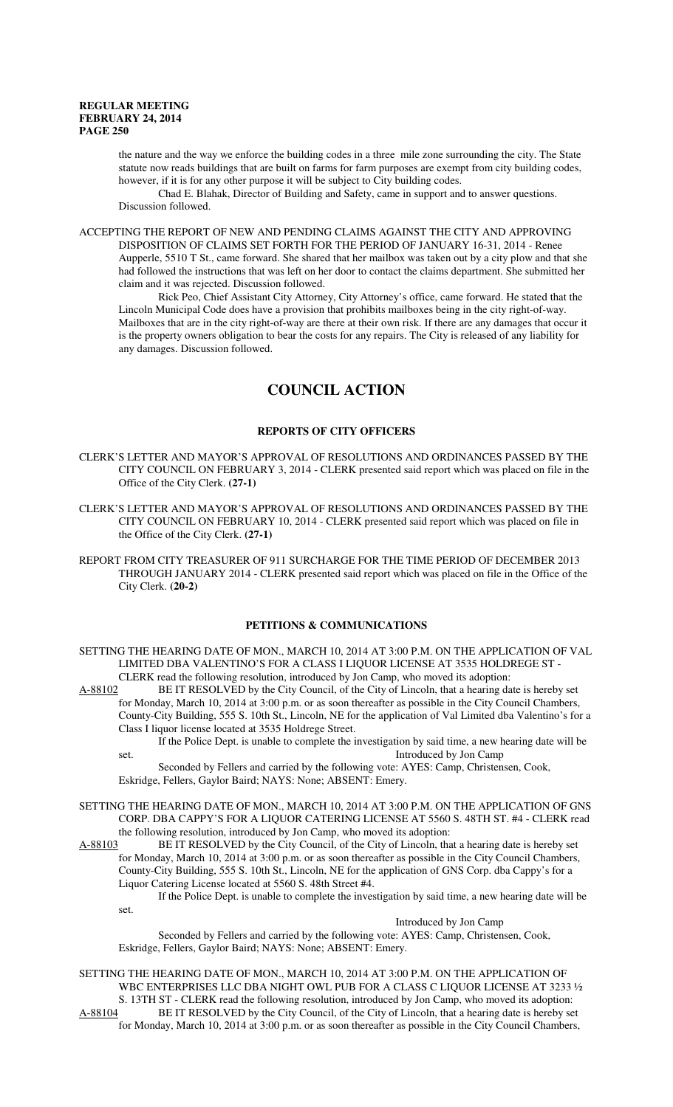the nature and the way we enforce the building codes in a three mile zone surrounding the city. The State statute now reads buildings that are built on farms for farm purposes are exempt from city building codes, however, if it is for any other purpose it will be subject to City building codes.

Chad E. Blahak, Director of Building and Safety, came in support and to answer questions. Discussion followed.

ACCEPTING THE REPORT OF NEW AND PENDING CLAIMS AGAINST THE CITY AND APPROVING DISPOSITION OF CLAIMS SET FORTH FOR THE PERIOD OF JANUARY 16-31, 2014 - Renee Aupperle, 5510 T St., came forward. She shared that her mailbox was taken out by a city plow and that she had followed the instructions that was left on her door to contact the claims department. She submitted her claim and it was rejected. Discussion followed.

Rick Peo, Chief Assistant City Attorney, City Attorney's office, came forward. He stated that the Lincoln Municipal Code does have a provision that prohibits mailboxes being in the city right-of-way. Mailboxes that are in the city right-of-way are there at their own risk. If there are any damages that occur it is the property owners obligation to bear the costs for any repairs. The City is released of any liability for any damages. Discussion followed.

# **COUNCIL ACTION**

## **REPORTS OF CITY OFFICERS**

- CLERK'S LETTER AND MAYOR'S APPROVAL OF RESOLUTIONS AND ORDINANCES PASSED BY THE CITY COUNCIL ON FEBRUARY 3, 2014 - CLERK presented said report which was placed on file in the Office of the City Clerk. **(27-1)**
- CLERK'S LETTER AND MAYOR'S APPROVAL OF RESOLUTIONS AND ORDINANCES PASSED BY THE CITY COUNCIL ON FEBRUARY 10, 2014 - CLERK presented said report which was placed on file in the Office of the City Clerk. **(27-1)**
- REPORT FROM CITY TREASURER OF 911 SURCHARGE FOR THE TIME PERIOD OF DECEMBER 2013 THROUGH JANUARY 2014 - CLERK presented said report which was placed on file in the Office of the City Clerk. **(20-2)**

#### **PETITIONS & COMMUNICATIONS**

- SETTING THE HEARING DATE OF MON., MARCH 10, 2014 AT 3:00 P.M. ON THE APPLICATION OF VAL LIMITED DBA VALENTINO'S FOR A CLASS I LIQUOR LICENSE AT 3535 HOLDREGE ST - CLERK read the following resolution, introduced by Jon Camp, who moved its adoption:
- A-88102 BE IT RESOLVED by the City Council, of the City of Lincoln, that a hearing date is hereby set for Monday, March 10, 2014 at 3:00 p.m. or as soon thereafter as possible in the City Council Chambers, County-City Building, 555 S. 10th St., Lincoln, NE for the application of Val Limited dba Valentino's for a Class I liquor license located at 3535 Holdrege Street.
	- If the Police Dept. is unable to complete the investigation by said time, a new hearing date will be set. **Introduced by Jon Camp**
	- Seconded by Fellers and carried by the following vote: AYES: Camp, Christensen, Cook, Eskridge, Fellers, Gaylor Baird; NAYS: None; ABSENT: Emery.
- SETTING THE HEARING DATE OF MON., MARCH 10, 2014 AT 3:00 P.M. ON THE APPLICATION OF GNS CORP. DBA CAPPY'S FOR A LIQUOR CATERING LICENSE AT 5560 S. 48TH ST. #4 - CLERK read the following resolution, introduced by Jon Camp, who moved its adoption:
- A-88103 BE IT RESOLVED by the City Council, of the City of Lincoln, that a hearing date is hereby set for Monday, March 10, 2014 at 3:00 p.m. or as soon thereafter as possible in the City Council Chambers, County-City Building, 555 S. 10th St., Lincoln, NE for the application of GNS Corp. dba Cappy's for a Liquor Catering License located at 5560 S. 48th Street #4.
	- If the Police Dept. is unable to complete the investigation by said time, a new hearing date will be set.

Introduced by Jon Camp

Seconded by Fellers and carried by the following vote: AYES: Camp, Christensen, Cook, Eskridge, Fellers, Gaylor Baird; NAYS: None; ABSENT: Emery.

SETTING THE HEARING DATE OF MON., MARCH 10, 2014 AT 3:00 P.M. ON THE APPLICATION OF WBC ENTERPRISES LLC DBA NIGHT OWL PUB FOR A CLASS C LIQUOR LICENSE AT 3233 ½ S. 13TH ST - CLERK read the following resolution, introduced by Jon Camp, who moved its adoption: A-88104 BE IT RESOLVED by the City Council, of the City of Lincoln, that a hearing date is hereby set for Monday, March 10, 2014 at 3:00 p.m. or as soon thereafter as possible in the City Council Chambers,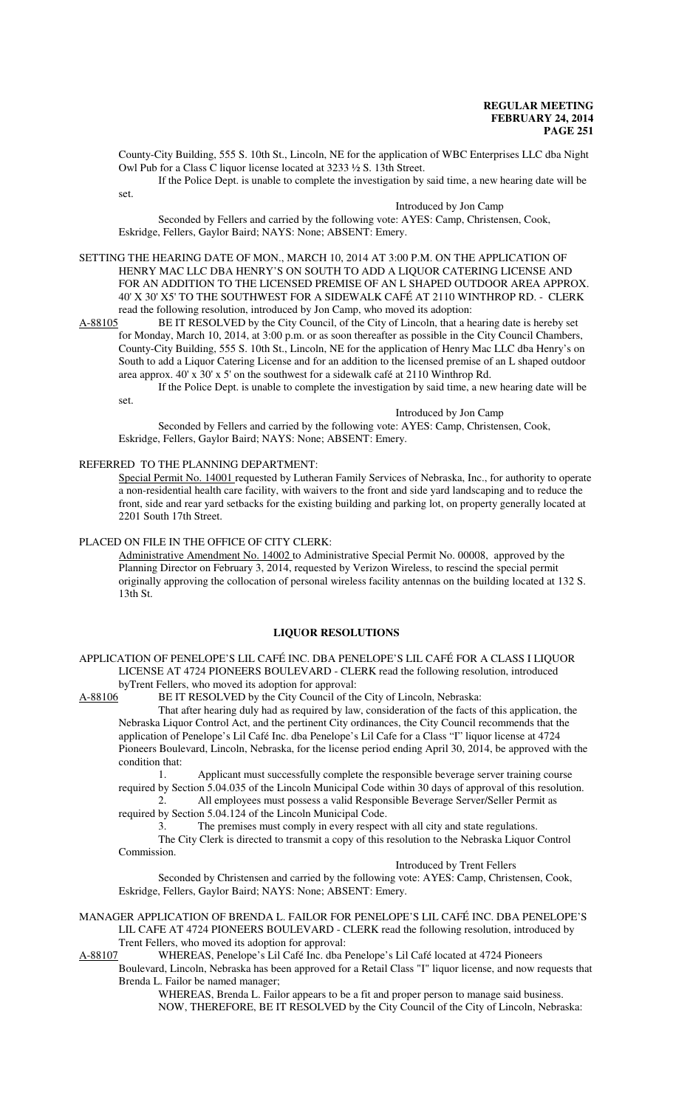County-City Building, 555 S. 10th St., Lincoln, NE for the application of WBC Enterprises LLC dba Night Owl Pub for a Class C liquor license located at 3233 ½ S. 13th Street.

If the Police Dept. is unable to complete the investigation by said time, a new hearing date will be

Introduced by Jon Camp

Seconded by Fellers and carried by the following vote: AYES: Camp, Christensen, Cook, Eskridge, Fellers, Gaylor Baird; NAYS: None; ABSENT: Emery.

SETTING THE HEARING DATE OF MON., MARCH 10, 2014 AT 3:00 P.M. ON THE APPLICATION OF HENRY MAC LLC DBA HENRY'S ON SOUTH TO ADD A LIQUOR CATERING LICENSE AND FOR AN ADDITION TO THE LICENSED PREMISE OF AN L SHAPED OUTDOOR AREA APPROX. 40' X 30' X5' TO THE SOUTHWEST FOR A SIDEWALK CAFÉ AT 2110 WINTHROP RD. - CLERK read the following resolution, introduced by Jon Camp, who moved its adoption:<br>A-88105 BE IT RESOLVED by the City Council, of the City of Lincoln, that a he

BE IT RESOLVED by the City Council, of the City of Lincoln, that a hearing date is hereby set for Monday, March 10, 2014, at 3:00 p.m. or as soon thereafter as possible in the City Council Chambers, County-City Building, 555 S. 10th St., Lincoln, NE for the application of Henry Mac LLC dba Henry's on South to add a Liquor Catering License and for an addition to the licensed premise of an L shaped outdoor area approx. 40' x 30' x 5' on the southwest for a sidewalk café at 2110 Winthrop Rd.

If the Police Dept. is unable to complete the investigation by said time, a new hearing date will be set.

Introduced by Jon Camp

Seconded by Fellers and carried by the following vote: AYES: Camp, Christensen, Cook, Eskridge, Fellers, Gaylor Baird; NAYS: None; ABSENT: Emery.

REFERRED TO THE PLANNING DEPARTMENT:

set.

Special Permit No. 14001 requested by Lutheran Family Services of Nebraska, Inc., for authority to operate a non-residential health care facility, with waivers to the front and side yard landscaping and to reduce the front, side and rear yard setbacks for the existing building and parking lot, on property generally located at 2201 South 17th Street.

## PLACED ON FILE IN THE OFFICE OF CITY CLERK:

Administrative Amendment No. 14002 to Administrative Special Permit No. 00008, approved by the Planning Director on February 3, 2014, requested by Verizon Wireless, to rescind the special permit originally approving the collocation of personal wireless facility antennas on the building located at 132 S. 13th St.

#### **LIQUOR RESOLUTIONS**

APPLICATION OF PENELOPE'S LIL CAFÉ INC. DBA PENELOPE'S LIL CAFÉ FOR A CLASS I LIQUOR LICENSE AT 4724 PIONEERS BOULEVARD - CLERK read the following resolution, introduced byTrent Fellers, who moved its adoption for approval:

A-88106 BE IT RESOLVED by the City Council of the City of Lincoln, Nebraska:

That after hearing duly had as required by law, consideration of the facts of this application, the Nebraska Liquor Control Act, and the pertinent City ordinances, the City Council recommends that the application of Penelope's Lil Café Inc. dba Penelope's Lil Cafe for a Class "I" liquor license at 4724 Pioneers Boulevard, Lincoln, Nebraska, for the license period ending April 30, 2014, be approved with the condition that:

1. Applicant must successfully complete the responsible beverage server training course required by Section 5.04.035 of the Lincoln Municipal Code within 30 days of approval of this resolution.

2. All employees must possess a valid Responsible Beverage Server/Seller Permit as required by Section 5.04.124 of the Lincoln Municipal Code.

The premises must comply in every respect with all city and state regulations. The City Clerk is directed to transmit a copy of this resolution to the Nebraska Liquor Control Commission.

Introduced by Trent Fellers

Seconded by Christensen and carried by the following vote: AYES: Camp, Christensen, Cook, Eskridge, Fellers, Gaylor Baird; NAYS: None; ABSENT: Emery.

MANAGER APPLICATION OF BRENDA L. FAILOR FOR PENELOPE'S LIL CAFÉ INC. DBA PENELOPE'S LIL CAFE AT 4724 PIONEERS BOULEVARD - CLERK read the following resolution, introduced by Trent Fellers, who moved its adoption for approval:

A-88107 WHEREAS, Penelope's Lil Café Inc. dba Penelope's Lil Café located at 4724 Pioneers

Boulevard, Lincoln, Nebraska has been approved for a Retail Class "I" liquor license, and now requests that Brenda L. Failor be named manager;

> WHEREAS, Brenda L. Failor appears to be a fit and proper person to manage said business. NOW, THEREFORE, BE IT RESOLVED by the City Council of the City of Lincoln, Nebraska: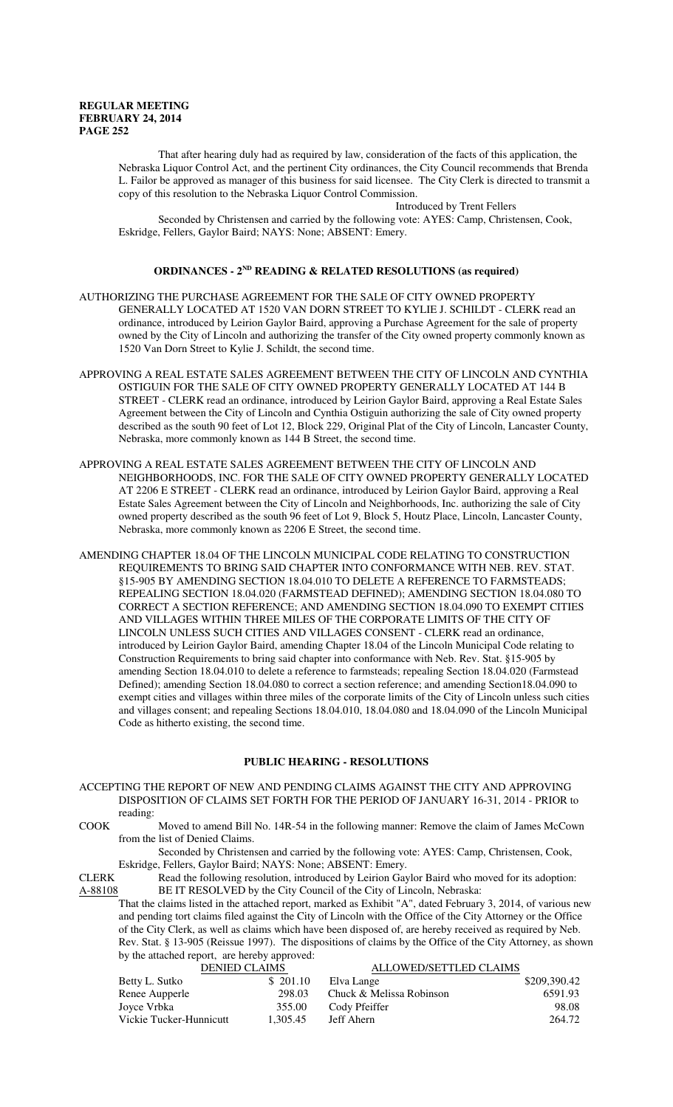That after hearing duly had as required by law, consideration of the facts of this application, the Nebraska Liquor Control Act, and the pertinent City ordinances, the City Council recommends that Brenda L. Failor be approved as manager of this business for said licensee. The City Clerk is directed to transmit a copy of this resolution to the Nebraska Liquor Control Commission.

Introduced by Trent Fellers

Seconded by Christensen and carried by the following vote: AYES: Camp, Christensen, Cook, Eskridge, Fellers, Gaylor Baird; NAYS: None; ABSENT: Emery.

## **ORDINANCES - 2ND READING & RELATED RESOLUTIONS (as required)**

- AUTHORIZING THE PURCHASE AGREEMENT FOR THE SALE OF CITY OWNED PROPERTY GENERALLY LOCATED AT 1520 VAN DORN STREET TO KYLIE J. SCHILDT - CLERK read an ordinance, introduced by Leirion Gaylor Baird, approving a Purchase Agreement for the sale of property owned by the City of Lincoln and authorizing the transfer of the City owned property commonly known as 1520 Van Dorn Street to Kylie J. Schildt, the second time.
- APPROVING A REAL ESTATE SALES AGREEMENT BETWEEN THE CITY OF LINCOLN AND CYNTHIA OSTIGUIN FOR THE SALE OF CITY OWNED PROPERTY GENERALLY LOCATED AT 144 B STREET - CLERK read an ordinance, introduced by Leirion Gaylor Baird, approving a Real Estate Sales Agreement between the City of Lincoln and Cynthia Ostiguin authorizing the sale of City owned property described as the south 90 feet of Lot 12, Block 229, Original Plat of the City of Lincoln, Lancaster County, Nebraska, more commonly known as 144 B Street, the second time.
- APPROVING A REAL ESTATE SALES AGREEMENT BETWEEN THE CITY OF LINCOLN AND NEIGHBORHOODS, INC. FOR THE SALE OF CITY OWNED PROPERTY GENERALLY LOCATED AT 2206 E STREET - CLERK read an ordinance, introduced by Leirion Gaylor Baird, approving a Real Estate Sales Agreement between the City of Lincoln and Neighborhoods, Inc. authorizing the sale of City owned property described as the south 96 feet of Lot 9, Block 5, Houtz Place, Lincoln, Lancaster County, Nebraska, more commonly known as 2206 E Street, the second time.
- AMENDING CHAPTER 18.04 OF THE LINCOLN MUNICIPAL CODE RELATING TO CONSTRUCTION REQUIREMENTS TO BRING SAID CHAPTER INTO CONFORMANCE WITH NEB. REV. STAT. §15-905 BY AMENDING SECTION 18.04.010 TO DELETE A REFERENCE TO FARMSTEADS; REPEALING SECTION 18.04.020 (FARMSTEAD DEFINED); AMENDING SECTION 18.04.080 TO CORRECT A SECTION REFERENCE; AND AMENDING SECTION 18.04.090 TO EXEMPT CITIES AND VILLAGES WITHIN THREE MILES OF THE CORPORATE LIMITS OF THE CITY OF LINCOLN UNLESS SUCH CITIES AND VILLAGES CONSENT - CLERK read an ordinance, introduced by Leirion Gaylor Baird, amending Chapter 18.04 of the Lincoln Municipal Code relating to Construction Requirements to bring said chapter into conformance with Neb. Rev. Stat. §15-905 by amending Section 18.04.010 to delete a reference to farmsteads; repealing Section 18.04.020 (Farmstead Defined); amending Section 18.04.080 to correct a section reference; and amending Section18.04.090 to exempt cities and villages within three miles of the corporate limits of the City of Lincoln unless such cities and villages consent; and repealing Sections 18.04.010, 18.04.080 and 18.04.090 of the Lincoln Municipal Code as hitherto existing, the second time.

## **PUBLIC HEARING - RESOLUTIONS**

- ACCEPTING THE REPORT OF NEW AND PENDING CLAIMS AGAINST THE CITY AND APPROVING DISPOSITION OF CLAIMS SET FORTH FOR THE PERIOD OF JANUARY 16-31, 2014 - PRIOR to reading:
- COOK Moved to amend Bill No. 14R-54 in the following manner: Remove the claim of James McCown from the list of Denied Claims.

Seconded by Christensen and carried by the following vote: AYES: Camp, Christensen, Cook, Eskridge, Fellers, Gaylor Baird; NAYS: None; ABSENT: Emery.

CLERK Read the following resolution, introduced by Leirion Gaylor Baird who moved for its adoption: A-88108 BE IT RESOLVED by the City Council of the City of Lincoln, Nebraska:

That the claims listed in the attached report, marked as Exhibit "A", dated February 3, 2014, of various new and pending tort claims filed against the City of Lincoln with the Office of the City Attorney or the Office of the City Clerk, as well as claims which have been disposed of, are hereby received as required by Neb. Rev. Stat. § 13-905 (Reissue 1997). The dispositions of claims by the Office of the City Attorney, as shown by the attached report, are hereby approved:

| <b>DENIED CLAIMS</b>    |          | ALLOWED/SETTLED CLAIMS   |              |
|-------------------------|----------|--------------------------|--------------|
| Betty L. Sutko          | \$201.10 | Elva Lange               | \$209,390.42 |
| Renee Aupperle          | 298.03   | Chuck & Melissa Robinson | 6591.93      |
| Joyce Vrbka             | 355.00   | Cody Pfeiffer            | 98.08        |
| Vickie Tucker-Hunnicutt | 1.305.45 | Jeff Ahern               | 264.72       |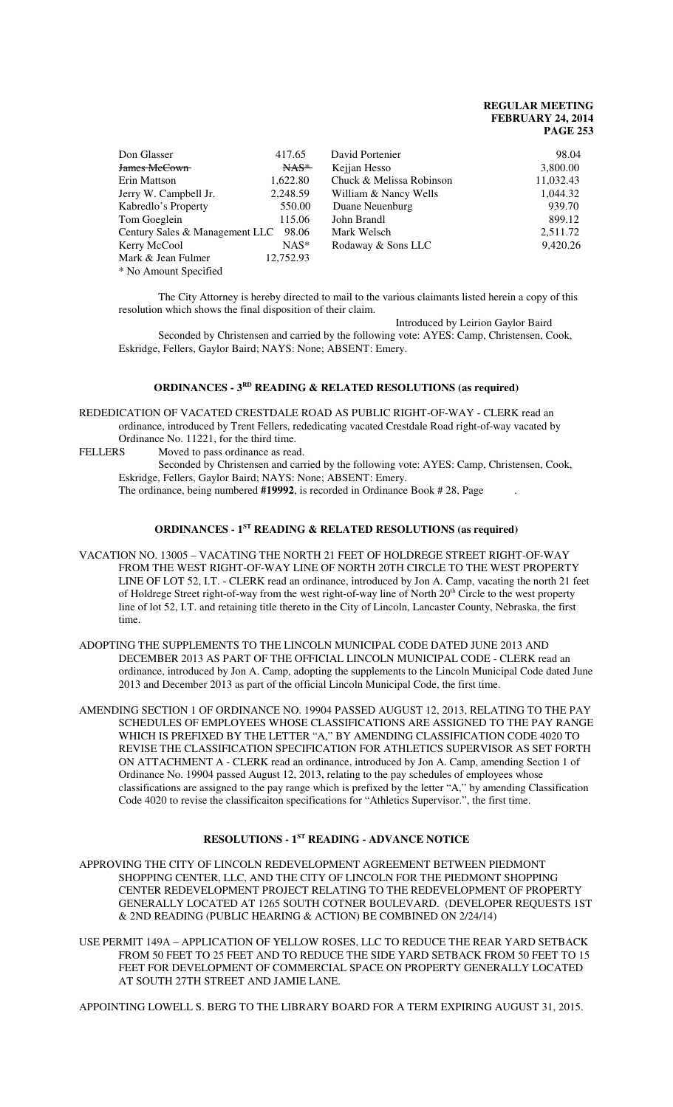| Don Glasser                    | 417.65    | David Portenier          | 98.04     |
|--------------------------------|-----------|--------------------------|-----------|
| James McCown                   | $NAS$     | Kejjan Hesso             | 3,800.00  |
| Erin Mattson                   | 1,622.80  | Chuck & Melissa Robinson | 11,032.43 |
| Jerry W. Campbell Jr.          | 2,248.59  | William & Nancy Wells    | 1,044.32  |
| Kabredlo's Property            | 550.00    | Duane Neuenburg          | 939.70    |
| Tom Goeglein                   | 115.06    | John Brandl              | 899.12    |
| Century Sales & Management LLC | 98.06     | Mark Welsch              | 2,511.72  |
| Kerry McCool                   | $NAS^*$   | Rodaway & Sons LLC       | 9,420.26  |
| Mark & Jean Fulmer             | 12,752.93 |                          |           |
| * No Amount Specified          |           |                          |           |

The City Attorney is hereby directed to mail to the various claimants listed herein a copy of this resolution which shows the final disposition of their claim.

Introduced by Leirion Gaylor Baird

Seconded by Christensen and carried by the following vote: AYES: Camp, Christensen, Cook, Eskridge, Fellers, Gaylor Baird; NAYS: None; ABSENT: Emery.

#### **ORDINANCES - 3<sup>RD</sup>** READING & RELATED RESOLUTIONS (as required)

REDEDICATION OF VACATED CRESTDALE ROAD AS PUBLIC RIGHT-OF-WAY - CLERK read an ordinance, introduced by Trent Fellers, rededicating vacated Crestdale Road right-of-way vacated by

Ordinance No. 11221, for the third time.<br>FELLERS Moved to pass ordinance as rea Moved to pass ordinance as read.

> Seconded by Christensen and carried by the following vote: AYES: Camp, Christensen, Cook, Eskridge, Fellers, Gaylor Baird; NAYS: None; ABSENT: Emery.

The ordinance, being numbered **#19992**, is recorded in Ordinance Book # 28, Page .

#### **ORDINANCES - 1ST READING & RELATED RESOLUTIONS (as required)**

- VACATION NO. 13005 VACATING THE NORTH 21 FEET OF HOLDREGE STREET RIGHT-OF-WAY FROM THE WEST RIGHT-OF-WAY LINE OF NORTH 20TH CIRCLE TO THE WEST PROPERTY LINE OF LOT 52, I.T. - CLERK read an ordinance, introduced by Jon A. Camp, vacating the north 21 feet of Holdrege Street right-of-way from the west right-of-way line of North 20<sup>th</sup> Circle to the west property line of lot 52, I.T. and retaining title thereto in the City of Lincoln, Lancaster County, Nebraska, the first time.
- ADOPTING THE SUPPLEMENTS TO THE LINCOLN MUNICIPAL CODE DATED JUNE 2013 AND DECEMBER 2013 AS PART OF THE OFFICIAL LINCOLN MUNICIPAL CODE - CLERK read an ordinance, introduced by Jon A. Camp, adopting the supplements to the Lincoln Municipal Code dated June 2013 and December 2013 as part of the official Lincoln Municipal Code, the first time.

AMENDING SECTION 1 OF ORDINANCE NO. 19904 PASSED AUGUST 12, 2013, RELATING TO THE PAY SCHEDULES OF EMPLOYEES WHOSE CLASSIFICATIONS ARE ASSIGNED TO THE PAY RANGE WHICH IS PREFIXED BY THE LETTER "A," BY AMENDING CLASSIFICATION CODE 4020 TO REVISE THE CLASSIFICATION SPECIFICATION FOR ATHLETICS SUPERVISOR AS SET FORTH ON ATTACHMENT A - CLERK read an ordinance, introduced by Jon A. Camp, amending Section 1 of Ordinance No. 19904 passed August 12, 2013, relating to the pay schedules of employees whose classifications are assigned to the pay range which is prefixed by the letter "A," by amending Classification Code 4020 to revise the classificaiton specifications for "Athletics Supervisor.", the first time.

## **RESOLUTIONS - 1ST READING - ADVANCE NOTICE**

APPROVING THE CITY OF LINCOLN REDEVELOPMENT AGREEMENT BETWEEN PIEDMONT SHOPPING CENTER, LLC, AND THE CITY OF LINCOLN FOR THE PIEDMONT SHOPPING CENTER REDEVELOPMENT PROJECT RELATING TO THE REDEVELOPMENT OF PROPERTY GENERALLY LOCATED AT 1265 SOUTH COTNER BOULEVARD. (DEVELOPER REQUESTS 1ST & 2ND READING (PUBLIC HEARING & ACTION) BE COMBINED ON 2/24/14)

USE PERMIT 149A – APPLICATION OF YELLOW ROSES, LLC TO REDUCE THE REAR YARD SETBACK FROM 50 FEET TO 25 FEET AND TO REDUCE THE SIDE YARD SETBACK FROM 50 FEET TO 15 FEET FOR DEVELOPMENT OF COMMERCIAL SPACE ON PROPERTY GENERALLY LOCATED AT SOUTH 27TH STREET AND JAMIE LANE.

APPOINTING LOWELL S. BERG TO THE LIBRARY BOARD FOR A TERM EXPIRING AUGUST 31, 2015.